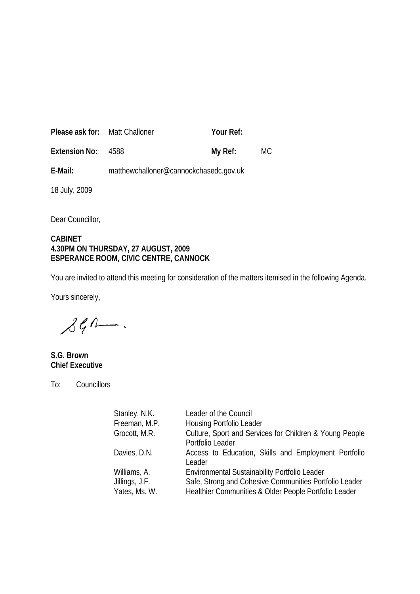| <b>Please ask for:</b> Matt Challoner |                                        | Your Ref: |    |
|---------------------------------------|----------------------------------------|-----------|----|
| <b>Extension No:</b>                  | 4588                                   | My Ref:   | МC |
| E-Mail:                               | matthewchalloner@cannockchasedc.gov.uk |           |    |

18 July, 2009

Dear Councillor,

### **CABINET 4.30PM ON THURSDAY, 27 AUGUST, 2009 ESPERANCE ROOM, CIVIC CENTRE, CANNOCK**

You are invited to attend this meeting for consideration of the matters itemised in the following Agenda.

Yours sincerely,

 $\mathcal{L} \mathcal{L} \Lambda$ 

**S.G. Brown Chief Executive**

To: Councillors

| Stanley, N.K.  | Leader of the Council                                   |  |
|----------------|---------------------------------------------------------|--|
| Freeman, M.P.  | <b>Housing Portfolio Leader</b>                         |  |
| Grocott, M.R.  | Culture, Sport and Services for Children & Young People |  |
|                | Portfolio Leader                                        |  |
| Davies, D.N.   | Access to Education, Skills and Employment Portfolio    |  |
|                | Leader                                                  |  |
| Williams, A.   | Environmental Sustainability Portfolio Leader           |  |
| Jillings, J.F. | Safe, Strong and Cohesive Communities Portfolio Leader  |  |
| Yates, Ms. W.  | Healthier Communities & Older People Portfolio Leader   |  |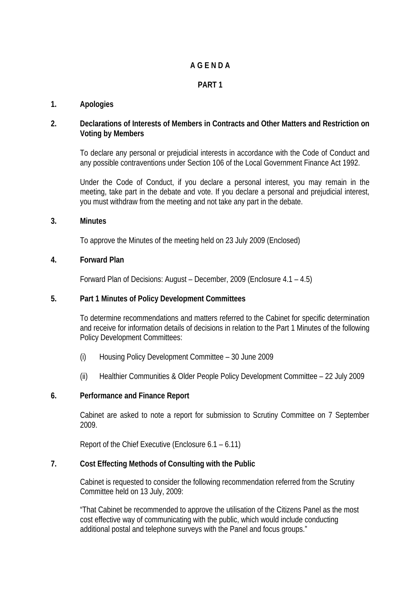# **A G E N D A**

# **PART 1**

## **1. Apologies**

### **2. Declarations of Interests of Members in Contracts and Other Matters and Restriction on Voting by Members**

To declare any personal or prejudicial interests in accordance with the Code of Conduct and any possible contraventions under Section 106 of the Local Government Finance Act 1992.

Under the Code of Conduct, if you declare a personal interest, you may remain in the meeting, take part in the debate and vote. If you declare a personal and prejudicial interest, you must withdraw from the meeting and not take any part in the debate.

### **3. Minutes**

To approve the Minutes of the meeting held on 23 July 2009 (Enclosed)

### **4. Forward Plan**

Forward Plan of Decisions: August – December, 2009 (Enclosure 4.1 – 4.5)

### **5. Part 1 Minutes of Policy Development Committees**

To determine recommendations and matters referred to the Cabinet for specific determination and receive for information details of decisions in relation to the Part 1 Minutes of the following Policy Development Committees:

- (i) Housing Policy Development Committee 30 June 2009
- (ii) Healthier Communities & Older People Policy Development Committee 22 July 2009

### **6. Performance and Finance Report**

Cabinet are asked to note a report for submission to Scrutiny Committee on 7 September 2009.

Report of the Chief Executive (Enclosure 6.1 – 6.11)

### **7. Cost Effecting Methods of Consulting with the Public**

Cabinet is requested to consider the following recommendation referred from the Scrutiny Committee held on 13 July, 2009:

"That Cabinet be recommended to approve the utilisation of the Citizens Panel as the most cost effective way of communicating with the public, which would include conducting additional postal and telephone surveys with the Panel and focus groups."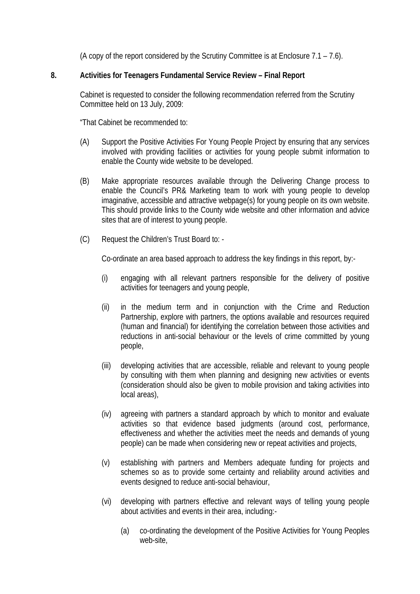(A copy of the report considered by the Scrutiny Committee is at Enclosure 7.1 – 7.6).

# **8. Activities for Teenagers Fundamental Service Review – Final Report**

Cabinet is requested to consider the following recommendation referred from the Scrutiny Committee held on 13 July, 2009:

"That Cabinet be recommended to:

- (A) Support the Positive Activities For Young People Project by ensuring that any services involved with providing facilities or activities for young people submit information to enable the County wide website to be developed.
- (B) Make appropriate resources available through the Delivering Change process to enable the Council's PR& Marketing team to work with young people to develop imaginative, accessible and attractive webpage(s) for young people on its own website. This should provide links to the County wide website and other information and advice sites that are of interest to young people.
- (C) Request the Children's Trust Board to: -

Co-ordinate an area based approach to address the key findings in this report, by:-

- (i) engaging with all relevant partners responsible for the delivery of positive activities for teenagers and young people,
- (ii) in the medium term and in conjunction with the Crime and Reduction Partnership, explore with partners, the options available and resources required (human and financial) for identifying the correlation between those activities and reductions in anti-social behaviour or the levels of crime committed by young people,
- (iii) developing activities that are accessible, reliable and relevant to young people by consulting with them when planning and designing new activities or events (consideration should also be given to mobile provision and taking activities into local areas),
- (iv) agreeing with partners a standard approach by which to monitor and evaluate activities so that evidence based judgments (around cost, performance, effectiveness and whether the activities meet the needs and demands of young people) can be made when considering new or repeat activities and projects,
- (v) establishing with partners and Members adequate funding for projects and schemes so as to provide some certainty and reliability around activities and events designed to reduce anti-social behaviour,
- (vi) developing with partners effective and relevant ways of telling young people about activities and events in their area, including:-
	- (a) co-ordinating the development of the Positive Activities for Young Peoples web-site,